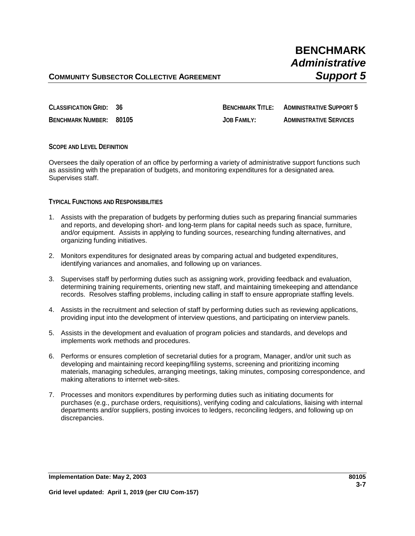**CLASSIFICATION GRID: 36 BENCHMARK TITLE: ADMINISTRATIVE SUPPORT 5 BENCHMARK NUMBER: 80105 JOB FAMILY: ADMINISTRATIVE SERVICES**

### **SCOPE AND LEVEL DEFINITION**

Oversees the daily operation of an office by performing a variety of administrative support functions such as assisting with the preparation of budgets, and monitoring expenditures for a designated area. Supervises staff.

#### **TYPICAL FUNCTIONS AND RESPONSIBILITIES**

- 1. Assists with the preparation of budgets by performing duties such as preparing financial summaries and reports, and developing short- and long-term plans for capital needs such as space, furniture, and/or equipment. Assists in applying to funding sources, researching funding alternatives, and organizing funding initiatives.
- 2. Monitors expenditures for designated areas by comparing actual and budgeted expenditures, identifying variances and anomalies, and following up on variances.
- 3. Supervises staff by performing duties such as assigning work, providing feedback and evaluation, determining training requirements, orienting new staff, and maintaining timekeeping and attendance records. Resolves staffing problems, including calling in staff to ensure appropriate staffing levels.
- 4. Assists in the recruitment and selection of staff by performing duties such as reviewing applications, providing input into the development of interview questions, and participating on interview panels.
- 5. Assists in the development and evaluation of program policies and standards, and develops and implements work methods and procedures.
- 6. Performs or ensures completion of secretarial duties for a program, Manager, and/or unit such as developing and maintaining record keeping/filing systems, screening and prioritizing incoming materials, managing schedules, arranging meetings, taking minutes, composing correspondence, and making alterations to internet web-sites.
- 7. Processes and monitors expenditures by performing duties such as initiating documents for purchases (e.g., purchase orders, requisitions), verifying coding and calculations, liaising with internal departments and/or suppliers, posting invoices to ledgers, reconciling ledgers, and following up on discrepancies.